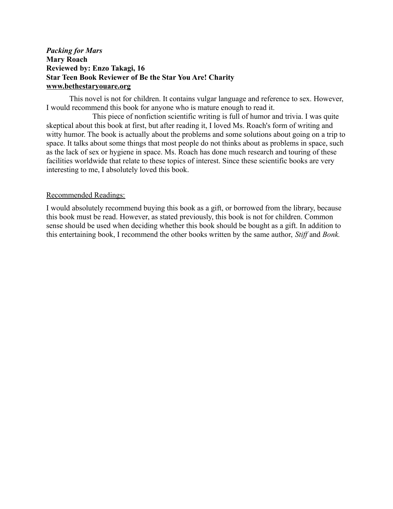## *Packing for Mars*  **Mary Roach Reviewed by: Enzo Takagi, 16 Star Teen Book Reviewer of Be the Star You Are! Charity www.bethestaryouare.org**

This novel is not for children. It contains vulgar language and reference to sex. However, I would recommend this book for anyone who is mature enough to read it.

This piece of nonfiction scientific writing is full of humor and trivia. I was quite skeptical about this book at first, but after reading it, I loved Ms. Roach's form of writing and witty humor. The book is actually about the problems and some solutions about going on a trip to space. It talks about some things that most people do not thinks about as problems in space, such as the lack of sex or hygiene in space. Ms. Roach has done much research and touring of these facilities worldwide that relate to these topics of interest. Since these scientific books are very interesting to me, I absolutely loved this book.

## Recommended Readings:

I would absolutely recommend buying this book as a gift, or borrowed from the library, because this book must be read. However, as stated previously, this book is not for children. Common sense should be used when deciding whether this book should be bought as a gift. In addition to this entertaining book, I recommend the other books written by the same author, *Stiff* and *Bonk.*